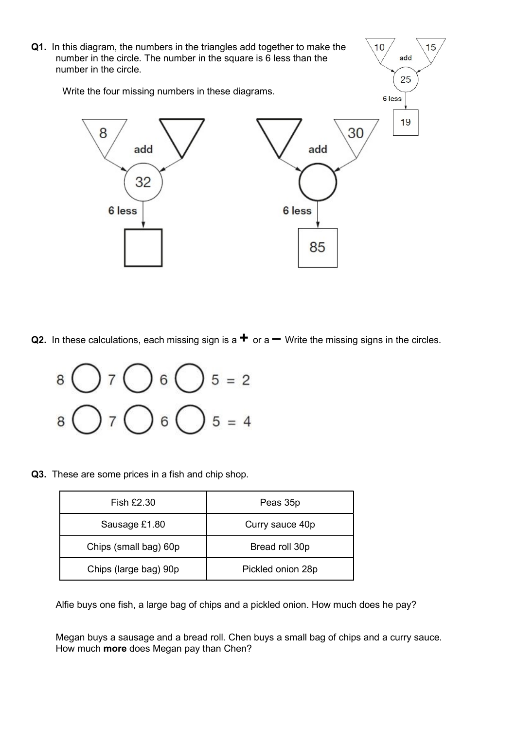

Q2. In these calculations, each missing sign is a  $\pm$  or a  $\pm$  Write the missing signs in the circles.



Q3. These are some prices in a fish and chip shop.

| Fish $£2.30$          | Peas 35p          |
|-----------------------|-------------------|
| Sausage £1.80         | Curry sauce 40p   |
| Chips (small bag) 60p | Bread roll 30p    |
| Chips (large bag) 90p | Pickled onion 28p |

Alfie buys one fish, a large bag of chips and a pickled onion. How much does he pay?

Megan buys a sausage and a bread roll. Chen buys a small bag of chips and a curry sauce. How much more does Megan pay than Chen?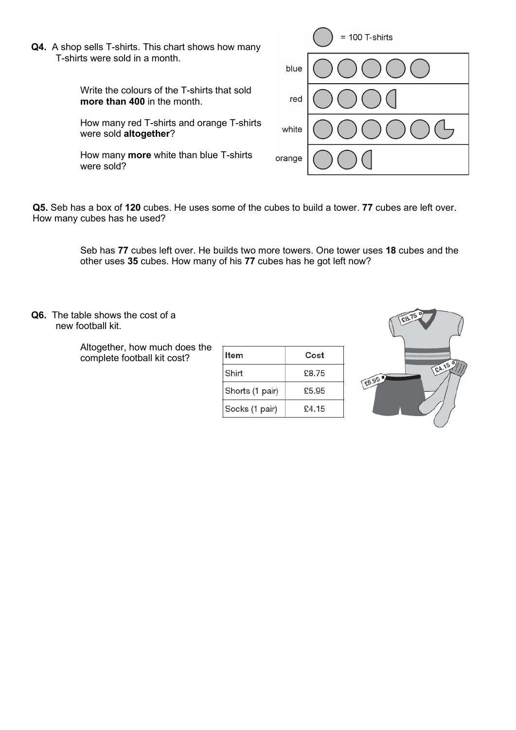Q4. A shop sells T-shirts. This chart shows how many T-shirts were sold in a month.

> Write the colours of the T-shirts that sold more than 400 in the month.

 How many red T-shirts and orange T-shirts were sold altogether?

 How many more white than blue T-shirts were sold?

 $= 100$  T-shirts blue red white orange

Q5. Seb has a box of 120 cubes. He uses some of the cubes to build a tower. 77 cubes are left over. How many cubes has he used?

> Seb has 77 cubes left over. He builds two more towers. One tower uses 18 cubes and the other uses 35 cubes. How many of his 77 cubes has he got left now?

Q6. The table shows the cost of a new football kit.

> Altogether, how much does the complete football kit cost?

| ltem            | Cost  |
|-----------------|-------|
| Shirt           | £8.75 |
| Shorts (1 pair) | £5.95 |
| Socks (1 pair)  | f4.15 |